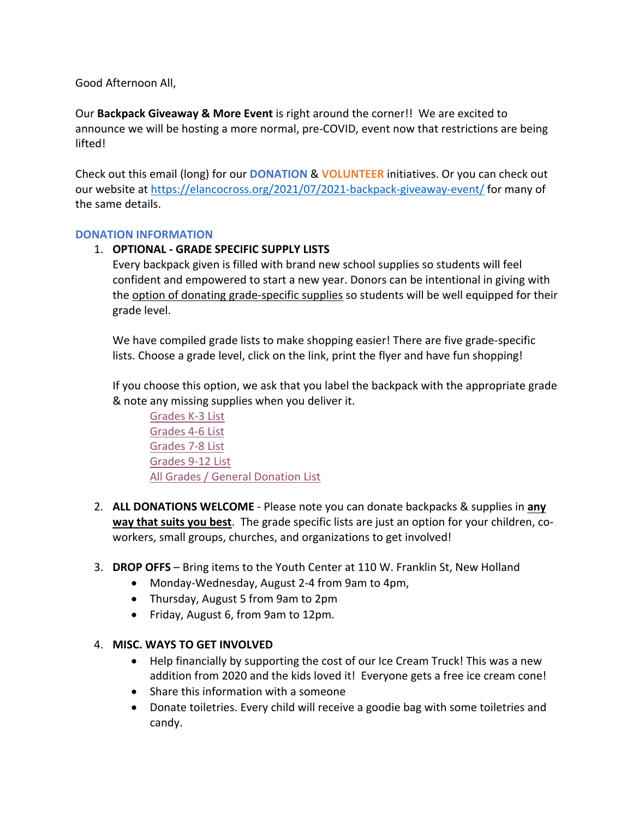Good Afternoon All,

Our **Backpack Giveaway & More Event** is right around the corner!! We are excited to announce we will be hosting a more normal, pre-COVID, event now that restrictions are being lifted!

Check out this email (long) for our **DONATION** & **VOLUNTEER** initiatives. Or you can check out our website at https://elancocross.org/2021/07/2021-backpack-giveaway-event/ for many of the same details.

# **DONATION INFORMATION**

# 1. **OPTIONAL - GRADE SPECIFIC SUPPLY LISTS**

Every backpack given is filled with brand new school supplies so students will feel confident and empowered to start a new year. Donors can be intentional in giving with the option of donating grade-specific supplies so students will be well equipped for their grade level.

We have compiled grade lists to make shopping easier! There are five grade-specific lists. Choose a grade level, click on the link, print the flyer and have fun shopping!

If you choose this option, we ask that you label the backpack with the appropriate grade & note any missing supplies when you deliver it.

Grades K-3 List Grades 4-6 List Grades 7-8 List Grades 9-12 List All Grades / General Donation List

- 2. **ALL DONATIONS WELCOME** Please note you can donate backpacks & supplies in **any way that suits you best**. The grade specific lists are just an option for your children, coworkers, small groups, churches, and organizations to get involved!
- 3. **DROP OFFS**  Bring items to the Youth Center at 110 W. Franklin St, New Holland
	- Monday-Wednesday, August 2-4 from 9am to 4pm,
	- Thursday, August 5 from 9am to 2pm
	- Friday, August 6, from 9am to 12pm.

# 4. **MISC. WAYS TO GET INVOLVED**

- Help financially by supporting the cost of our Ice Cream Truck! This was a new addition from 2020 and the kids loved it! Everyone gets a free ice cream cone!
- Share this information with a someone
- Donate toiletries. Every child will receive a goodie bag with some toiletries and candy.